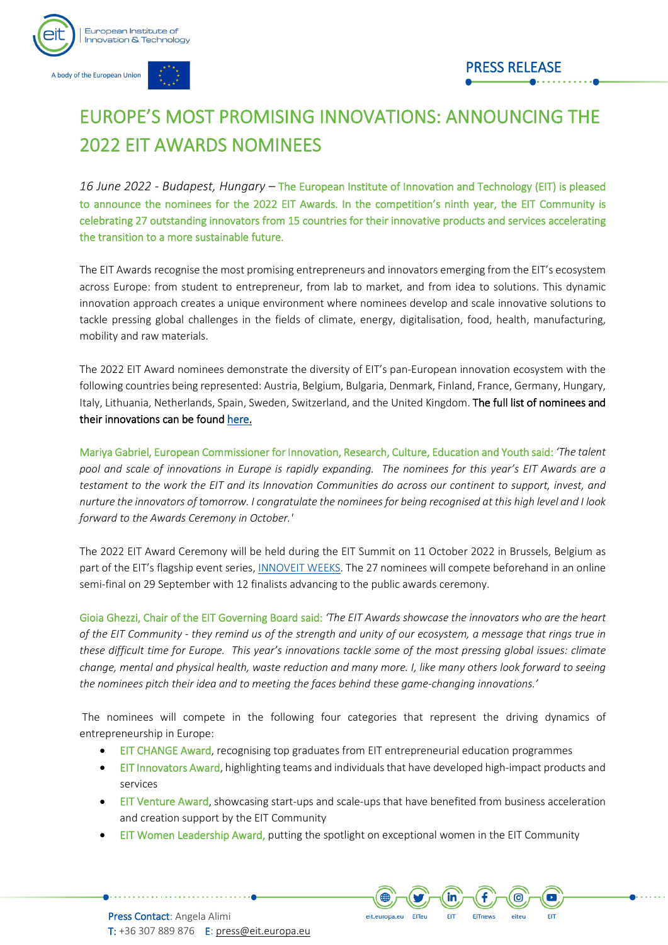

A body of the European Union

## PRESS RELEASE

# EUROPE'S MOST PROMISING INNOVATIONS: ANNOUNCING THE 2022 EIT AWARDS NOMINEES

*16 June 2022 - Budapest, Hungary –* The European Institute of Innovation and Technology (EIT) is pleased to announce the nominees for the 2022 EIT Awards. In the competition's ninth year, the EIT Community is celebrating 27 outstanding innovators from 15 countries for their innovative products and services accelerating the transition to a more sustainable future.

The EIT Awards recognise the most promising entrepreneurs and innovators emerging from the EIT's ecosystem across Europe: from student to entrepreneur, from lab to market, and from idea to solutions. This dynamic innovation approach creates a unique environment where nominees develop and scale innovative solutions to tackle pressing global challenges in the fields of climate, energy, digitalisation, food, health, manufacturing, mobility and raw materials.

The 2022 EIT Award nominees demonstrate the diversity of EIT's pan-European innovation ecosystem with the following countries being represented: Austria, Belgium, Bulgaria, Denmark, Finland, France, Germany, Hungary, Italy, Lithuania, Netherlands, Spain, Sweden, Switzerland, and the United Kingdom. The full list of nominees and their innovations can be foun[d here.](https://eit.europa.eu/sites/default/files/2022_eit_awards_nominees.pdf)

Mariya Gabriel, European Commissioner for Innovation, Research, Culture, Education and Youth said: *'The talent pool and scale of innovations in Europe is rapidly expanding. The nominees for this year's EIT Awards are a testament to the work the EIT and its Innovation Communities do across our continent to support, invest, and nurture the innovators of tomorrow. I congratulate the nominees for being recognised at this high level and I look forward to the Awards Ceremony in October.'*

The 2022 EIT Award Ceremony will be held during the EIT Summit on 11 October 2022 in Brussels, Belgium as part of the EIT's flagship event series, [INNOVEIT WEEKS.](http://www.innoveit.eu/) The 27 nominees will compete beforehand in an online semi-final on 29 September with 12 finalists advancing to the public awards ceremony.

Gioia Ghezzi, Chair of the EIT Governing Board said: *'The EIT Awards showcase the innovators who are the heart of the EIT Community - they remind us of the strength and unity of our ecosystem, a message that rings true in these difficult time for Europe. This year's innovations tackle some of the most pressing global issues: climate change, mental and physical health, waste reduction and many more. I, like many others look forward to seeing the nominees pitch their idea and to meeting the faces behind these game-changing innovations.'*

The nominees will compete in the following four categories that represent the driving dynamics of entrepreneurship in Europe:

- EIT CHANGE Award, recognising top graduates from EIT entrepreneurial education programmes
- **EIT Innovators Award, highlighting teams and individuals that have developed high-impact products and** services
- **EIT Venture Award, showcasing start-ups and scale-ups that have benefited from business acceleration** and creation support by the EIT Community

eit.europa.eu

EITeu

În

**FIT** 

EITnews

ල

 $\overline{\phantom{a}}$ 

• EIT Women Leadership Award, putting the spotlight on exceptional women in the EIT Community

Press Contact: Angela Alimi T: +36 307 889 876 E[: press@eit.europa.eu](mailto:press@eit.europa.eu)